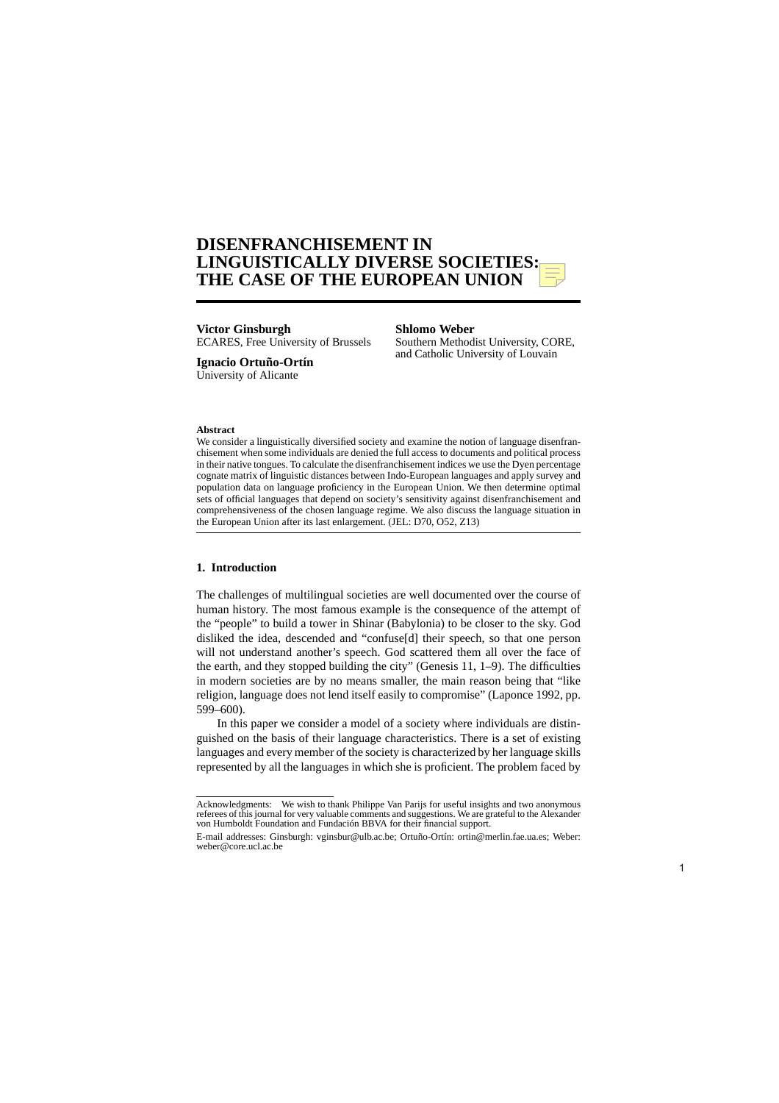# **DISENFRANCHISEMENT IN LINGUISTICALLY DIVERSE SOCIETIES: THE CASE OF THE EUROPEAN UNION**

#### **Victor Ginsburgh**

ECARES, Free University of Brussels

#### **Shlomo Weber**

Southern Methodist University, CORE, and Catholic University of Louvain

# **Ignacio Ortuño-Ortín**

University of Alicante

#### **Abstract**

We consider a linguistically diversified society and examine the notion of language disenfranchisement when some individuals are denied the full access to documents and political process in their native tongues. To calculate the disenfranchisement indices we use the Dyen percentage cognate matrix of linguistic distances between Indo-European languages and apply survey and population data on language proficiency in the European Union. We then determine optimal sets of official languages that depend on society's sensitivity against disenfranchisement and comprehensiveness of the chosen language regime. We also discuss the language situation in the European Union after its last enlargement. (JEL: D70, O52, Z13)

### **1. Introduction**

The challenges of multilingual societies are well documented over the course of human history. The most famous example is the consequence of the attempt of the "people" to build a tower in Shinar (Babylonia) to be closer to the sky. God disliked the idea, descended and "confuse[d] their speech, so that one person will not understand another's speech. God scattered them all over the face of the earth, and they stopped building the city" (Genesis 11, 1–9). The difficulties in modern societies are by no means smaller, the main reason being that "like religion, language does not lend itself easily to compromise" (Laponce 1992, pp. 599–600).

In this paper we consider a model of a society where individuals are distinguished on the basis of their language characteristics. There is a set of existing languages and every member of the society is characterized by her language skills represented by all the languages in which she is proficient. The problem faced by

Acknowledgments: We wish to thank Philippe Van Parijs for useful insights and two anonymous referees of this journal for very valuable comments and suggestions. We are grateful to the Alexander von Humboldt Foundation and Fundación BBVA for their financial support.

E-mail addresses: Ginsburgh: vginsbur@ulb.ac.be; Ortuño-Ortín: ortin@merlin.fae.ua.es; Weber: weber@core.ucl.ac.be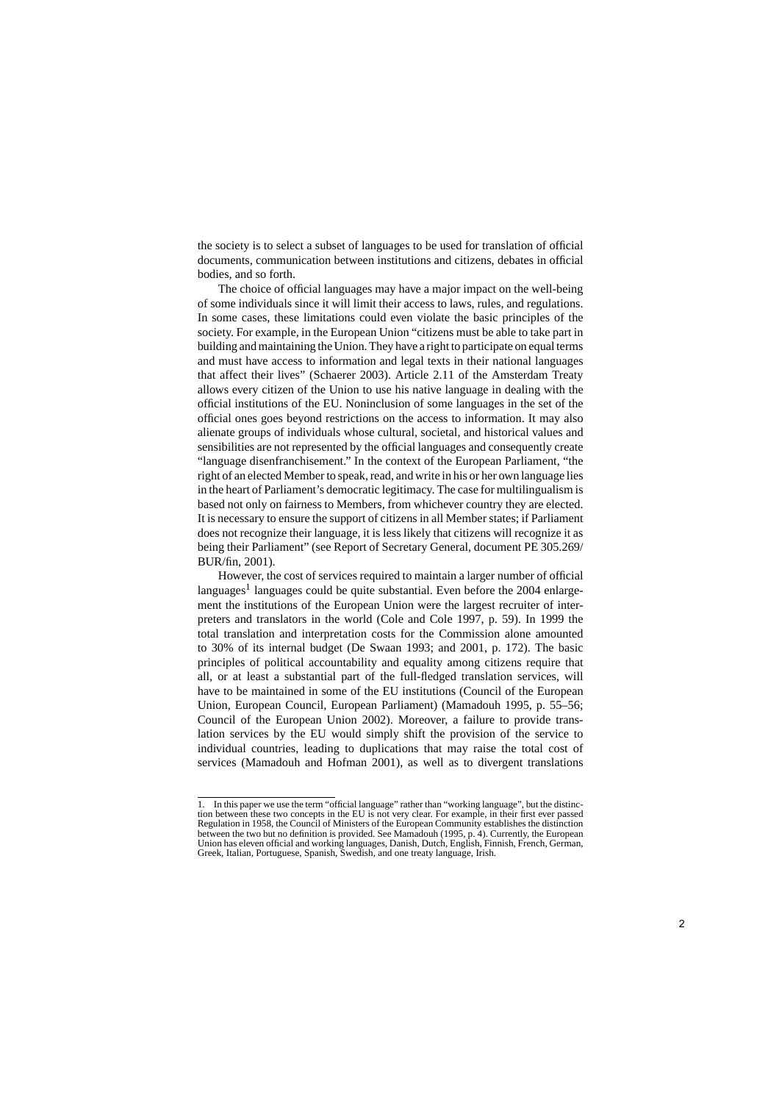the society is to select a subset of languages to be used for translation of official documents, communication between institutions and citizens, debates in official bodies, and so forth.

The choice of official languages may have a major impact on the well-being of some individuals since it will limit their access to laws, rules, and regulations. In some cases, these limitations could even violate the basic principles of the society. For example, in the European Union "citizens must be able to take part in building and maintaining the Union. They have a right to participate on equal terms and must have access to information and legal texts in their national languages that affect their lives" (Schaerer 2003). Article 2.11 of the Amsterdam Treaty allows every citizen of the Union to use his native language in dealing with the official institutions of the EU. Noninclusion of some languages in the set of the official ones goes beyond restrictions on the access to information. It may also alienate groups of individuals whose cultural, societal, and historical values and sensibilities are not represented by the official languages and consequently create "language disenfranchisement." In the context of the European Parliament, "the right of an elected Member to speak, read, and write in his or her own language lies in the heart of Parliament's democratic legitimacy. The case for multilingualism is based not only on fairness to Members, from whichever country they are elected. It is necessary to ensure the support of citizens in all Member states; if Parliament does not recognize their language, it is less likely that citizens will recognize it as being their Parliament" (see Report of Secretary General, document PE 305.269/ BUR/fin, 2001).

However, the cost of services required to maintain a larger number of official languages<sup>1</sup> languages could be quite substantial. Even before the 2004 enlargement the institutions of the European Union were the largest recruiter of interpreters and translators in the world (Cole and Cole 1997, p. 59). In 1999 the total translation and interpretation costs for the Commission alone amounted to 30% of its internal budget (De Swaan 1993; and 2001, p. 172). The basic principles of political accountability and equality among citizens require that all, or at least a substantial part of the full-fledged translation services, will have to be maintained in some of the EU institutions (Council of the European Union, European Council, European Parliament) (Mamadouh 1995, p. 55–56; Council of the European Union 2002). Moreover, a failure to provide translation services by the EU would simply shift the provision of the service to individual countries, leading to duplications that may raise the total cost of services (Mamadouh and Hofman 2001), as well as to divergent translations

<sup>1.</sup> In this paper we use the term "official language" rather than "working language", but the distinction between these two concepts in the EU is not very clear. For example, in their first ever passed Regulation in 1958, the Council of Ministers of the European Community establishes the distinction between the two but no definition is provided. See Mamadouh (1995, p. 4). Currently, the European Union has eleven official and working languages, Danish, Dutch, English, Finnish, French, German, Greek, Italian, Portuguese, Spanish, Swedish, and one treaty language, Irish.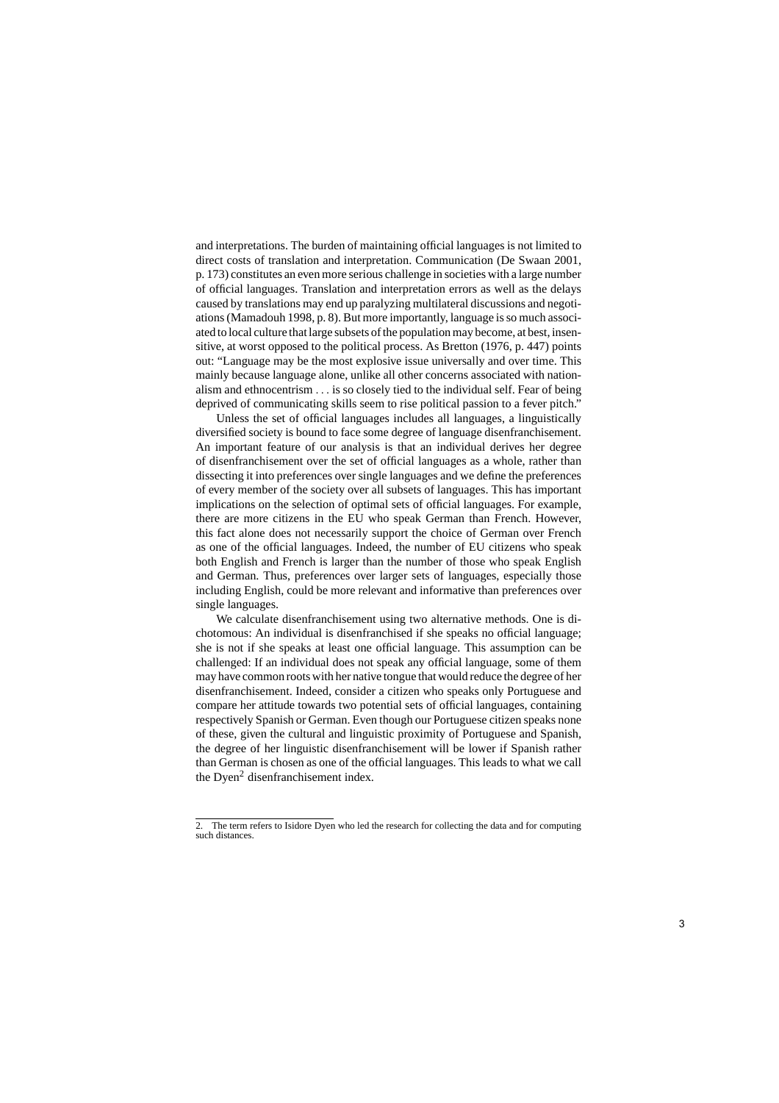and interpretations. The burden of maintaining official languages is not limited to direct costs of translation and interpretation. Communication (De Swaan 2001, p. 173) constitutes an even more serious challenge in societies with a large number of official languages. Translation and interpretation errors as well as the delays caused by translations may end up paralyzing multilateral discussions and negotiations (Mamadouh 1998, p. 8). But more importantly, language is so much associated to local culture that large subsets of the population may become, at best, insensitive, at worst opposed to the political process. As Bretton (1976, p. 447) points out: "Language may be the most explosive issue universally and over time. This mainly because language alone, unlike all other concerns associated with nationalism and ethnocentrism *...* is so closely tied to the individual self. Fear of being deprived of communicating skills seem to rise political passion to a fever pitch."

Unless the set of official languages includes all languages, a linguistically diversified society is bound to face some degree of language disenfranchisement. An important feature of our analysis is that an individual derives her degree of disenfranchisement over the set of official languages as a whole, rather than dissecting it into preferences over single languages and we define the preferences of every member of the society over all subsets of languages. This has important implications on the selection of optimal sets of official languages. For example, there are more citizens in the EU who speak German than French. However, this fact alone does not necessarily support the choice of German over French as one of the official languages. Indeed, the number of EU citizens who speak both English and French is larger than the number of those who speak English and German. Thus, preferences over larger sets of languages, especially those including English, could be more relevant and informative than preferences over single languages.

We calculate disenfranchisement using two alternative methods. One is dichotomous: An individual is disenfranchised if she speaks no official language; she is not if she speaks at least one official language. This assumption can be challenged: If an individual does not speak any official language, some of them may have common roots with her native tongue that would reduce the degree of her disenfranchisement. Indeed, consider a citizen who speaks only Portuguese and compare her attitude towards two potential sets of official languages, containing respectively Spanish or German. Even though our Portuguese citizen speaks none of these, given the cultural and linguistic proximity of Portuguese and Spanish, the degree of her linguistic disenfranchisement will be lower if Spanish rather than German is chosen as one of the official languages. This leads to what we call the Dyen<sup>2</sup> disenfranchisement index.

<sup>2.</sup> The term refers to Isidore Dyen who led the research for collecting the data and for computing such distances.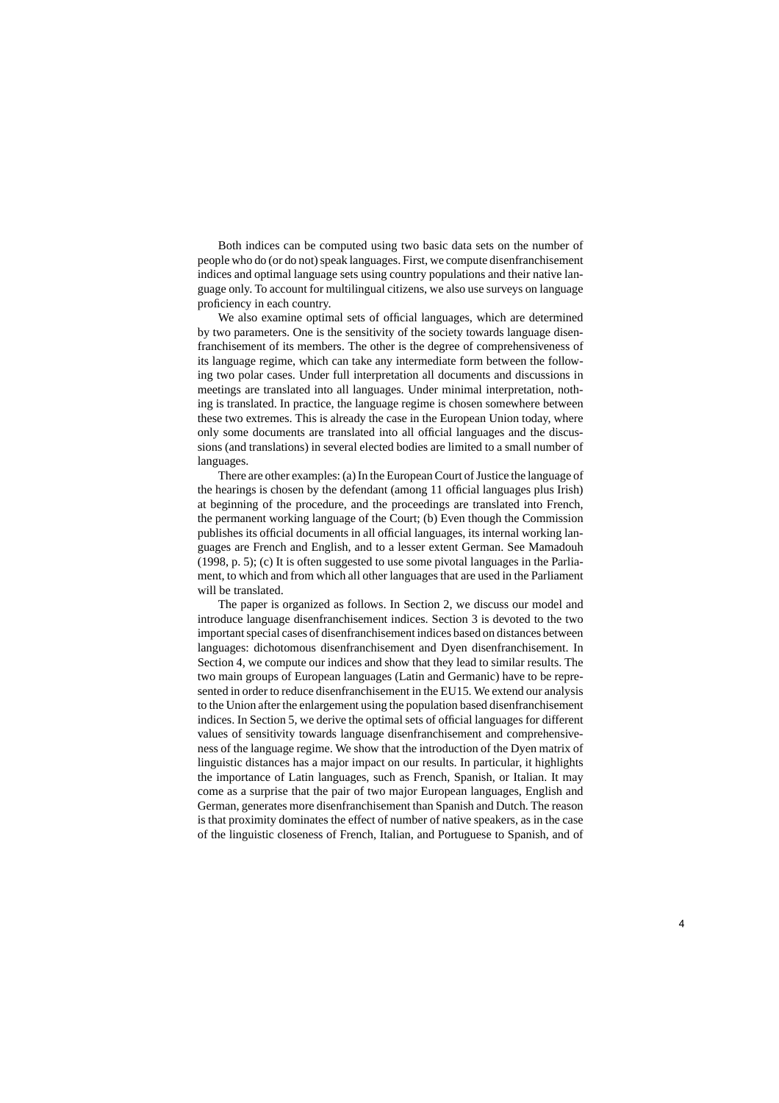Both indices can be computed using two basic data sets on the number of people who do (or do not) speak languages. First, we compute disenfranchisement indices and optimal language sets using country populations and their native language only. To account for multilingual citizens, we also use surveys on language proficiency in each country.

We also examine optimal sets of official languages, which are determined by two parameters. One is the sensitivity of the society towards language disenfranchisement of its members. The other is the degree of comprehensiveness of its language regime, which can take any intermediate form between the following two polar cases. Under full interpretation all documents and discussions in meetings are translated into all languages. Under minimal interpretation, nothing is translated. In practice, the language regime is chosen somewhere between these two extremes. This is already the case in the European Union today, where only some documents are translated into all official languages and the discussions (and translations) in several elected bodies are limited to a small number of languages.

There are other examples: (a) In the European Court of Justice the language of the hearings is chosen by the defendant (among 11 official languages plus Irish) at beginning of the procedure, and the proceedings are translated into French, the permanent working language of the Court; (b) Even though the Commission publishes its official documents in all official languages, its internal working languages are French and English, and to a lesser extent German. See Mamadouh (1998, p. 5); (c) It is often suggested to use some pivotal languages in the Parliament, to which and from which all other languages that are used in the Parliament will be translated.

The paper is organized as follows. In Section 2, we discuss our model and introduce language disenfranchisement indices. Section 3 is devoted to the two important special cases of disenfranchisement indices based on distances between languages: dichotomous disenfranchisement and Dyen disenfranchisement. In Section 4, we compute our indices and show that they lead to similar results. The two main groups of European languages (Latin and Germanic) have to be represented in order to reduce disenfranchisement in the EU15. We extend our analysis to the Union after the enlargement using the population based disenfranchisement indices. In Section 5, we derive the optimal sets of official languages for different values of sensitivity towards language disenfranchisement and comprehensiveness of the language regime. We show that the introduction of the Dyen matrix of linguistic distances has a major impact on our results. In particular, it highlights the importance of Latin languages, such as French, Spanish, or Italian. It may come as a surprise that the pair of two major European languages, English and German, generates more disenfranchisement than Spanish and Dutch. The reason is that proximity dominates the effect of number of native speakers, as in the case of the linguistic closeness of French, Italian, and Portuguese to Spanish, and of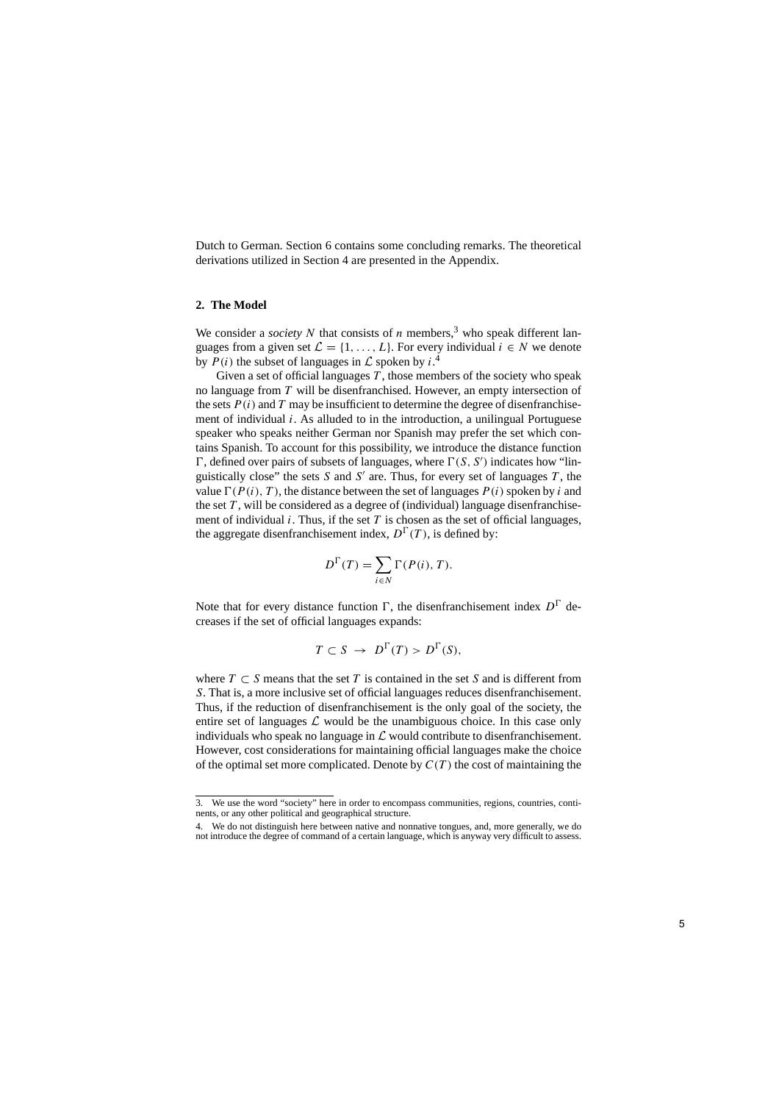Dutch to German. Section 6 contains some concluding remarks. The theoretical derivations utilized in Section 4 are presented in the Appendix.

## **2. The Model**

We consider a *society* N that consists of  $n$  members,<sup>3</sup> who speak different languages from a given set  $\mathcal{L} = \{1, \ldots, L\}$ . For every individual  $i \in N$  we denote by  $P(i)$  the subset of languages in  $\mathcal L$  spoken by  $i^4$ .

Given a set of official languages *T* , those members of the society who speak no language from *T* will be disenfranchised. However, an empty intersection of the sets  $P(i)$  and  $T$  may be insufficient to determine the degree of disenfranchisement of individual *i*. As alluded to in the introduction, a unilingual Portuguese speaker who speaks neither German nor Spanish may prefer the set which contains Spanish. To account for this possibility, we introduce the distance function  $\Gamma$ , defined over pairs of subsets of languages, where  $\Gamma(S, S')$  indicates how "linguistically close" the sets  $S$  and  $S'$  are. Thus, for every set of languages  $T$ , the value  $\Gamma(P(i), T)$ , the distance between the set of languages  $P(i)$  spoken by *i* and the set  $T$ , will be considered as a degree of (individual) language disenfranchisement of individual *i*. Thus, if the set *T* is chosen as the set of official languages, the aggregate disenfranchisement index,  $D^{\Gamma}(T)$ , is defined by:

$$
D^{\Gamma}(T) = \sum_{i \in N} \Gamma(P(i), T).
$$

Note that for every distance function  $\Gamma$ , the disenfranchisement index  $D^{\Gamma}$  decreases if the set of official languages expands:

$$
T \subset S \ \to \ D^{\Gamma}(T) > D^{\Gamma}(S),
$$

where  $T \subset S$  means that the set *T* is contained in the set *S* and is different from *S*. That is, a more inclusive set of official languages reduces disenfranchisement. Thus, if the reduction of disenfranchisement is the only goal of the society, the entire set of languages  $\mathcal L$  would be the unambiguous choice. In this case only individuals who speak no language in  $\mathcal L$  would contribute to disenfranchisement. However, cost considerations for maintaining official languages make the choice of the optimal set more complicated. Denote by  $C(T)$  the cost of maintaining the

<sup>3.</sup> We use the word "society" here in order to encompass communities, regions, countries, continents, or any other political and geographical structure.

<sup>4.</sup> We do not distinguish here between native and nonnative tongues, and, more generally, we do not introduce the degree of command of a certain language, which is anyway very difficult to assess.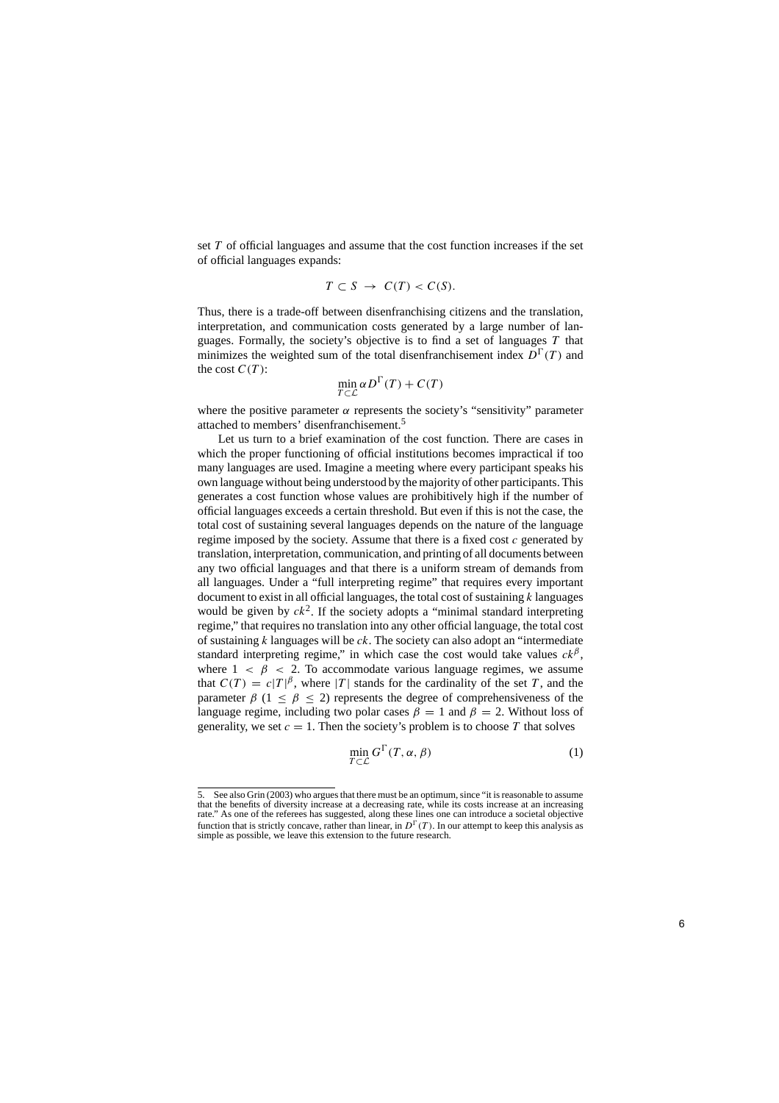set *T* of official languages and assume that the cost function increases if the set of official languages expands:

$$
T \subset S \ \to \ C(T) < C(S).
$$

Thus, there is a trade-off between disenfranchising citizens and the translation, interpretation, and communication costs generated by a large number of languages. Formally, the society's objective is to find a set of languages *T* that minimizes the weighted sum of the total disenfranchisement index  $D^{\Gamma}(T)$  and the cost  $C(T)$ :

$$
\min_{T \subset \mathcal{L}} \alpha D^{\Gamma}(T) + C(T)
$$

where the positive parameter  $\alpha$  represents the society's "sensitivity" parameter attached to members' disenfranchisement.5

Let us turn to a brief examination of the cost function. There are cases in which the proper functioning of official institutions becomes impractical if too many languages are used. Imagine a meeting where every participant speaks his own language without being understood by the majority of other participants. This generates a cost function whose values are prohibitively high if the number of official languages exceeds a certain threshold. But even if this is not the case, the total cost of sustaining several languages depends on the nature of the language regime imposed by the society. Assume that there is a fixed cost *c* generated by translation, interpretation, communication, and printing of all documents between any two official languages and that there is a uniform stream of demands from all languages. Under a "full interpreting regime" that requires every important document to exist in all official languages, the total cost of sustaining *k* languages would be given by  $ck^2$ . If the society adopts a "minimal standard interpreting" regime," that requires no translation into any other official language, the total cost of sustaining *k* languages will be *ck*. The society can also adopt an "intermediate standard interpreting regime," in which case the cost would take values  $ck^{\beta}$ , where  $1 < \beta < 2$ . To accommodate various language regimes, we assume that  $C(T) = c|T|^{\beta}$ , where |*T*| stands for the cardinality of the set *T*, and the parameter  $\beta$  (1  $\leq \beta \leq$  2) represents the degree of comprehensiveness of the language regime, including two polar cases  $\beta = 1$  and  $\beta = 2$ . Without loss of generality, we set  $c = 1$ . Then the society's problem is to choose T that solves

$$
\min_{T \subset \mathcal{L}} G^{\Gamma}(T, \alpha, \beta) \tag{1}
$$

See also Grin (2003) who argues that there must be an optimum, since "it is reasonable to assume that the benefits of diversity increase at a decreasing rate, while its costs increase at an increasing rate." As one of the referees has suggested, along these lines one can introduce a societal objective function that is strictly concave, rather than linear, in  $D^{\Gamma}(T)$ . In our attempt to keep this analysis as simple as possible, we leave this extension to the future research.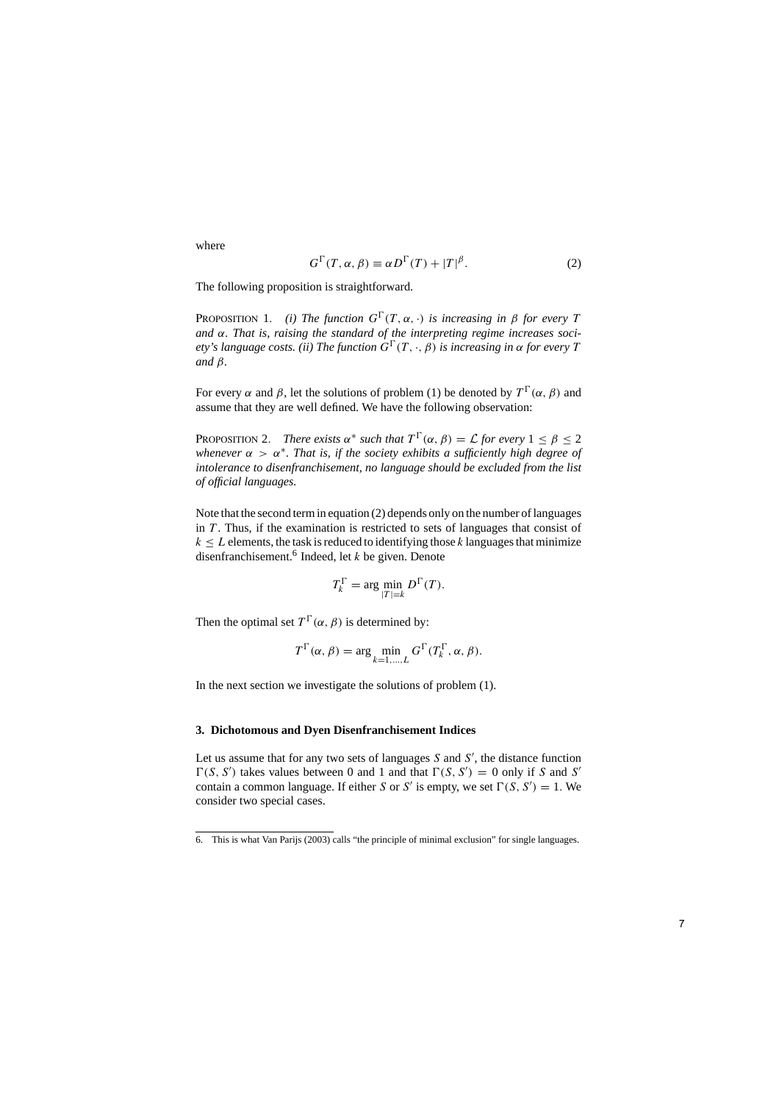where

$$
G^{\Gamma}(T,\alpha,\beta) \equiv \alpha D^{\Gamma}(T) + |T|^{\beta}.
$$
 (2)

The following proposition is straightforward.

PROPOSITION 1. *(i) The function*  $G^{\Gamma}(T, \alpha, \cdot)$  *is increasing in β for every T and α. That is, raising the standard of the interpreting regime increases society's language costs. (ii) The function*  $G^{\Gamma}(T, \cdot, \beta)$  *is increasing in*  $\alpha$  *for every*  $T$ *and β.*

For every *α* and *β*, let the solutions of problem (1) be denoted by  $T^{\Gamma}(\alpha, \beta)$  and assume that they are well defined. We have the following observation:

PROPOSITION 2. *There exists*  $\alpha^*$  *such that*  $T^{\Gamma}(\alpha, \beta) = \mathcal{L}$  for every  $1 \leq \beta \leq 2$ *whenever*  $\alpha > \alpha^*$ *. That is, if the society exhibits a sufficiently high degree of intolerance to disenfranchisement, no language should be excluded from the list of official languages.*

Note that the second term in equation (2) depends only on the number of languages in *T* . Thus, if the examination is restricted to sets of languages that consist of  $k \leq L$  elements, the task is reduced to identifying those *k* languages that minimize disenfranchisement.6 Indeed, let *k* be given. Denote

$$
T_k^{\Gamma} = \arg\min_{|T|=k} D^{\Gamma}(T).
$$

Then the optimal set  $T^{\Gamma}(\alpha, \beta)$  is determined by:

$$
T^{\Gamma}(\alpha, \beta) = \arg \min_{k=1,\dots,L} G^{\Gamma}(T_k^{\Gamma}, \alpha, \beta).
$$

In the next section we investigate the solutions of problem (1).

### **3. Dichotomous and Dyen Disenfranchisement Indices**

Let us assume that for any two sets of languages  $S$  and  $S'$ , the distance function  $\Gamma(S, S')$  takes values between 0 and 1 and that  $\Gamma(S, S') = 0$  only if *S* and *S'* contain a common language. If either *S* or *S'* is empty, we set  $\Gamma(S, S') = 1$ . We consider two special cases.

<sup>6.</sup> This is what Van Parijs (2003) calls "the principle of minimal exclusion" for single languages.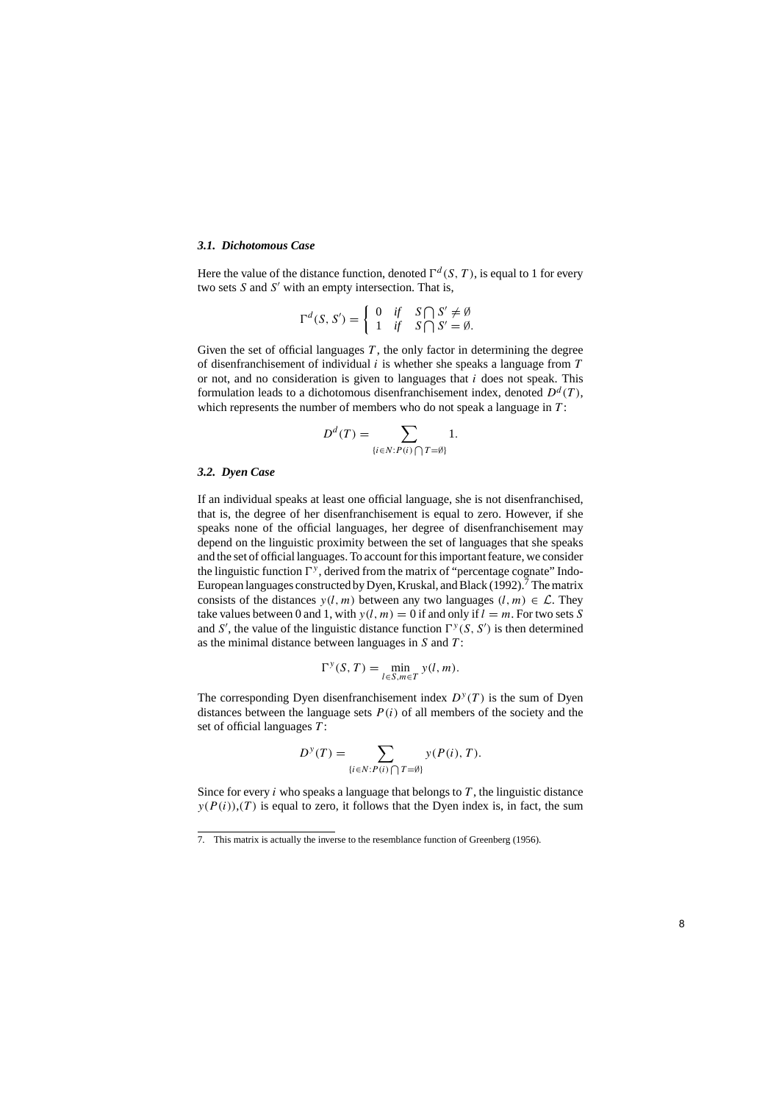#### *3.1. Dichotomous Case*

Here the value of the distance function, denoted  $\Gamma^d(S, T)$ , is equal to 1 for every two sets  $S$  and  $S'$  with an empty intersection. That is,

$$
\Gamma^d(S, S') = \begin{cases} 0 & \text{if } S \cap S' \neq \emptyset \\ 1 & \text{if } S \cap S' = \emptyset. \end{cases}
$$

Given the set of official languages *T*, the only factor in determining the degree of disenfranchisement of individual *i* is whether she speaks a language from *T* or not, and no consideration is given to languages that *i* does not speak. This formulation leads to a dichotomous disenfranchisement index, denoted  $D^d(T)$ , which represents the number of members who do not speak a language in *T* :

$$
D^{d}(T) = \sum_{\{i \in N : P(i) \bigcap T = \emptyset\}} 1.
$$

#### *3.2. Dyen Case*

If an individual speaks at least one official language, she is not disenfranchised, that is, the degree of her disenfranchisement is equal to zero. However, if she speaks none of the official languages, her degree of disenfranchisement may depend on the linguistic proximity between the set of languages that she speaks and the set of official languages. To account for this important feature, we consider the linguistic function  $\Gamma^y$ , derived from the matrix of "percentage cognate" Indo-European languages constructed by Dyen, Kruskal, and Black  $(1992)$ .<sup>7</sup> The matrix consists of the distances  $y(l, m)$  between any two languages  $(l, m) \in \mathcal{L}$ . They take values between 0 and 1, with  $y(l, m) = 0$  if and only if  $l = m$ . For two sets S and S', the value of the linguistic distance function  $\Gamma^{y}(S, S')$  is then determined as the minimal distance between languages in *S* and *T* :

$$
\Gamma^{y}(S, T) = \min_{l \in S, m \in T} y(l, m).
$$

The corresponding Dyen disenfranchisement index  $D^y(T)$  is the sum of Dyen distances between the language sets  $P(i)$  of all members of the society and the set of official languages *T* :

$$
D^{y}(T) = \sum_{\{i \in N: P(i) \bigcap T = \emptyset\}} y(P(i), T).
$$

Since for every  $i$  who speaks a language that belongs to  $T$ , the linguistic distance  $y(P(i))$ , *(T)* is equal to zero, it follows that the Dyen index is, in fact, the sum

<sup>7.</sup> This matrix is actually the inverse to the resemblance function of Greenberg (1956).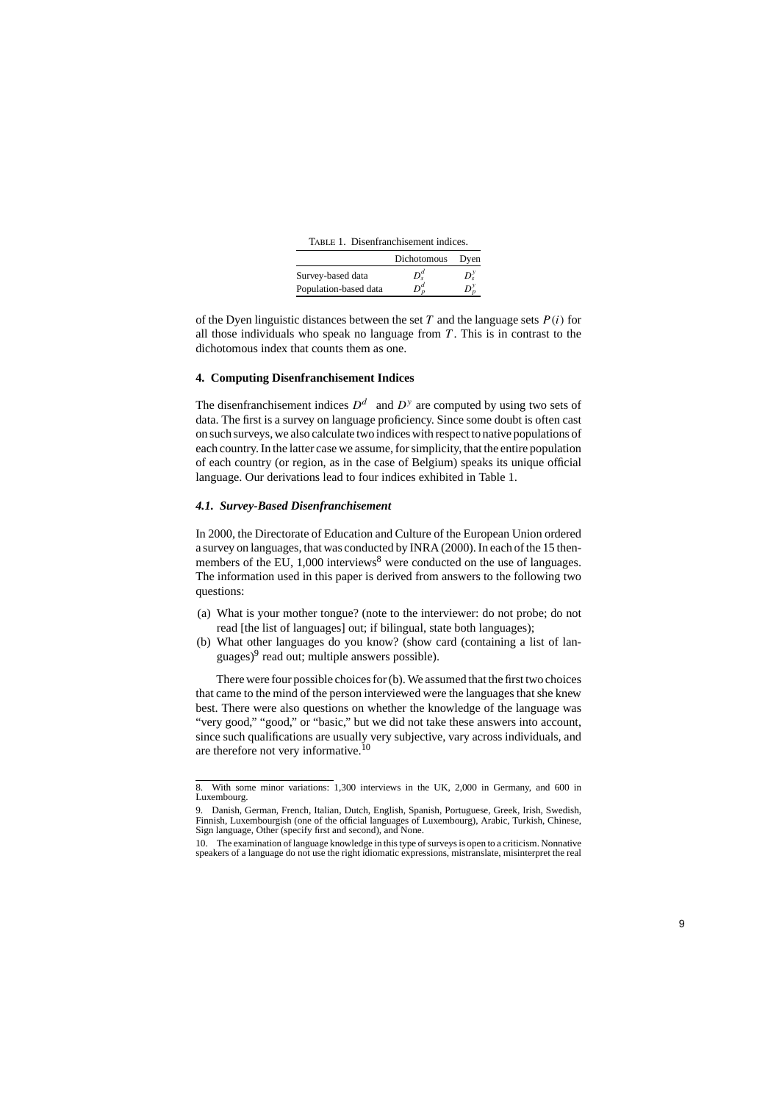| TABLE 1. Disenfranchisement indices. |  |  |  |  |  |  |  |  |
|--------------------------------------|--|--|--|--|--|--|--|--|
| Dichotomous Dve                      |  |  |  |  |  |  |  |  |

|                       | Dichotomous Dyen |             |
|-----------------------|------------------|-------------|
| Survey-based data     | $D_{s}^{d}$      | $D_{s}^{y}$ |
| Population-based data | $D_n^d$          | $D_n^y$     |

of the Dyen linguistic distances between the set  $T$  and the language sets  $P(i)$  for all those individuals who speak no language from *T* . This is in contrast to the dichotomous index that counts them as one.

### **4. Computing Disenfranchisement Indices**

The disenfranchisement indices  $D^d$  and  $D^y$  are computed by using two sets of data. The first is a survey on language proficiency. Since some doubt is often cast on such surveys, we also calculate two indices with respect to native populations of each country. In the latter case we assume, for simplicity, that the entire population of each country (or region, as in the case of Belgium) speaks its unique official language. Our derivations lead to four indices exhibited in Table 1.

### *4.1. Survey-Based Disenfranchisement*

In 2000, the Directorate of Education and Culture of the European Union ordered a survey on languages, that was conducted by INRA (2000). In each of the 15 thenmembers of the EU,  $1,000$  interviews<sup>8</sup> were conducted on the use of languages. The information used in this paper is derived from answers to the following two questions:

- (a) What is your mother tongue? (note to the interviewer: do not probe; do not read [the list of languages] out; if bilingual, state both languages);
- (b) What other languages do you know? (show card (containing a list of languages) $9$  read out; multiple answers possible).

There were four possible choices for (b). We assumed that the first two choices that came to the mind of the person interviewed were the languages that she knew best. There were also questions on whether the knowledge of the language was "very good," "good," or "basic," but we did not take these answers into account, since such qualifications are usually very subjective, vary across individuals, and are therefore not very informative.<sup>10</sup>

<sup>8.</sup> With some minor variations: 1,300 interviews in the UK, 2,000 in Germany, and 600 in Luxembourg.

<sup>9.</sup> Danish, German, French, Italian, Dutch, English, Spanish, Portuguese, Greek, Irish, Swedish, Finnish, Luxembourgish (one of the official languages of Luxembourg), Arabic, Turkish, Chinese, Sign language, Other (specify first and second), and None.

<sup>10.</sup> The examination of language knowledge in this type of surveys is open to a criticism. Nonnative speakers of a language do not use the right idiomatic expressions, mistranslate, misinterpret the real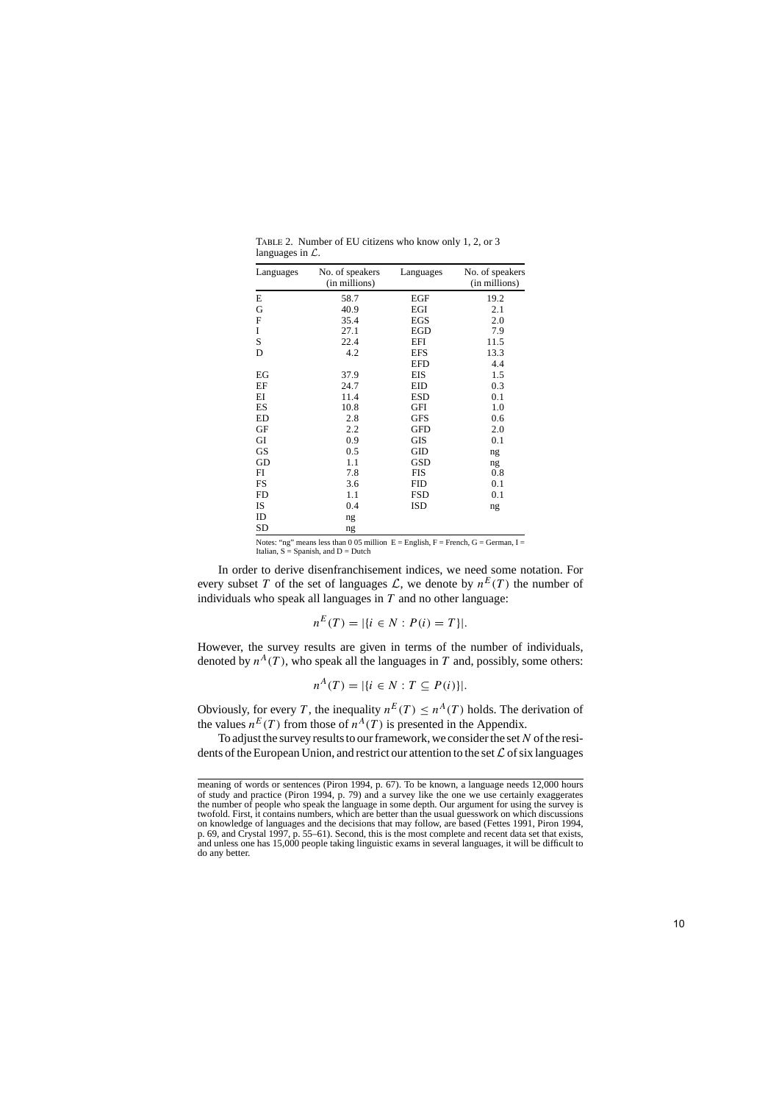| Languages | No. of speakers<br>(in millions) | Languages  | No. of speakers<br>(in millions) |
|-----------|----------------------------------|------------|----------------------------------|
| Е         | 58.7                             | EGF        | 19.2                             |
| G         | 40.9                             | EGI        | 2.1                              |
| F         | 35.4                             | EGS        | 2.0                              |
| I         | 27.1                             | EGD        | 7.9                              |
| S         | 22.4                             | EFI        | 11.5                             |
| D         | 4.2                              | <b>EFS</b> | 13.3                             |
|           |                                  | EFD        | 4.4                              |
| EG        | 37.9                             | EIS        | 1.5                              |
| EF        | 24.7                             | EID        | 0.3                              |
| EI        | 11.4                             | ESD        | 0.1                              |
| ES        | 10.8                             | GFI        | 1.0                              |
| ED        | 2.8                              | <b>GFS</b> | 0.6                              |
| GF        | 2.2                              | GFD        | 2.0                              |
| GI        | $_{0.9}$                         | GIS        | 0.1                              |
| GS        | 0.5                              | GID        | ng                               |
| GD        | 1.1                              | GSD        | ng                               |
| FI        | 7.8                              | FIS        | 0.8                              |
| FS        | 3.6                              | FID        | 0.1                              |
| <b>FD</b> | 1.1                              | FSD        | 0.1                              |
| IS        | 0.4                              | ISD        | ng                               |
| ID        | ng                               |            |                                  |
| SD        | ng                               |            |                                  |

Table 2. Number of EU citizens who know only 1, 2, or 3 languages in  $\mathcal{L}$ .

Notes: "ng" means less than 0 05 million  $E =$  English,  $F =$  French,  $G =$  German,  $I =$ Italian,  $S =$  Spanish, and  $D =$  Dutch

In order to derive disenfranchisement indices, we need some notation. For every subset *T* of the set of languages  $\mathcal{L}$ , we denote by  $n^E(T)$  the number of individuals who speak all languages in *T* and no other language:

$$
n^{E}(T) = |\{i \in N : P(i) = T\}|.
$$

However, the survey results are given in terms of the number of individuals, denoted by  $n^A(T)$ , who speak all the languages in *T* and, possibly, some others:

$$
n^{A}(T) = |\{i \in N : T \subseteq P(i)\}|.
$$

Obviously, for every *T*, the inequality  $n^{E}(T) \leq n^{A}(T)$  holds. The derivation of the values  $n^E(T)$  from those of  $n^A(T)$  is presented in the Appendix.

To adjust the survey results to our framework, we consider the set*N* of the residents of the European Union, and restrict our attention to the set  $\mathcal L$  of six languages

meaning of words or sentences (Piron 1994, p. 67). To be known, a language needs 12,000 hours of study and practice (Piron 1994, p. 79) and a survey like the one we use certainly exaggerates the number of people who speak the language in some depth. Our argument for using the survey is twofold. First, it contains numbers, which are better than the usual guesswork on which discussions on knowledge of languages and the decisions that may follow, are based (Fettes 1991, Piron 1994, p. 69, and Crystal 1997, p. 55–61). Second, this is the most complete and recent data set that exists, and unless one has 15,000 people taking linguistic exams in several languages, it will be difficult to do any better.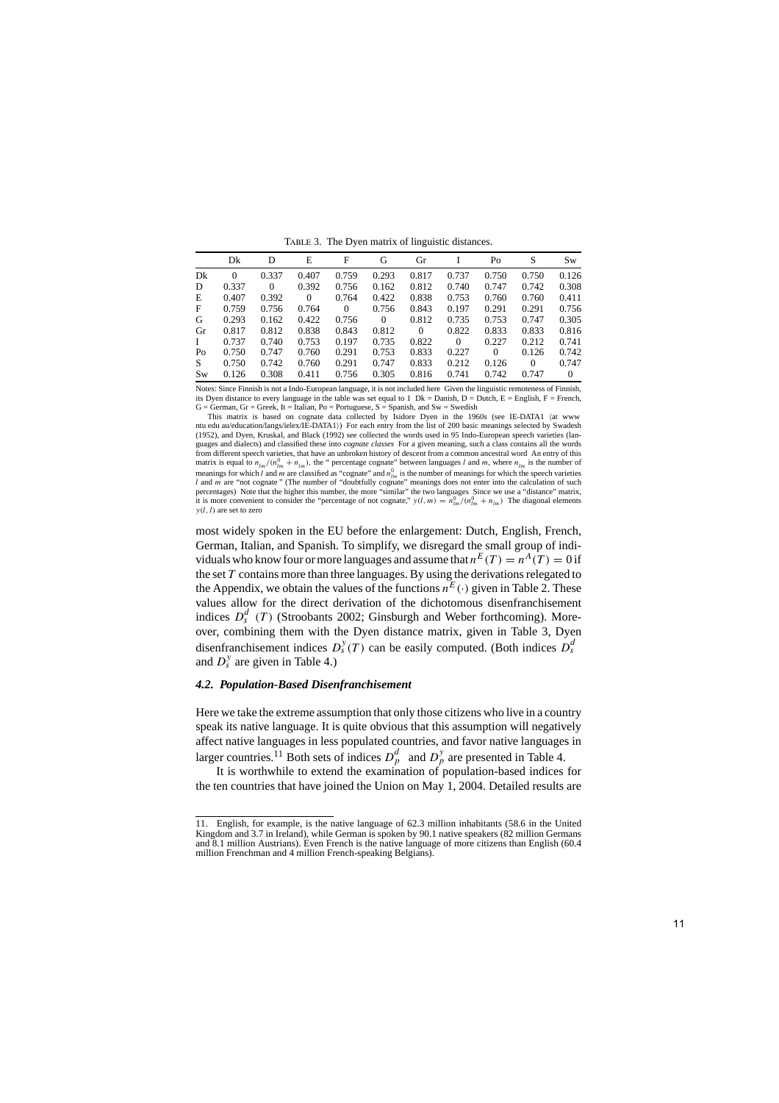Table 3. The Dyen matrix of linguistic distances.

|           | Dk       | D        | E        | F        | G        | Gr       |          | Po       | S        | Sw       |
|-----------|----------|----------|----------|----------|----------|----------|----------|----------|----------|----------|
| Dk        | $\Omega$ | 0.337    | 0.407    | 0.759    | 0.293    | 0.817    | 0.737    | 0.750    | 0.750    | 0.126    |
| D         | 0.337    | $\Omega$ | 0.392    | 0.756    | 0.162    | 0.812    | 0.740    | 0.747    | 0.742    | 0.308    |
| E         | 0.407    | 0.392    | $\Omega$ | 0.764    | 0.422    | 0.838    | 0.753    | 0.760    | 0.760    | 0.411    |
| F         | 0.759    | 0.756    | 0.764    | $\Omega$ | 0.756    | 0.843    | 0.197    | 0.291    | 0.291    | 0.756    |
| G         | 0.293    | 0.162    | 0.422    | 0.756    | $\Omega$ | 0.812    | 0.735    | 0.753    | 0.747    | 0.305    |
| Gr        | 0.817    | 0.812    | 0.838    | 0.843    | 0.812    | $\Omega$ | 0.822    | 0.833    | 0.833    | 0.816    |
| L         | 0.737    | 0.740    | 0.753    | 0.197    | 0.735    | 0.822    | $\Omega$ | 0.227    | 0.212    | 0.741    |
| Po        | 0.750    | 0.747    | 0.760    | 0.291    | 0.753    | 0.833    | 0.227    | $\Omega$ | 0.126    | 0.742    |
| S         | 0.750    | 0.742    | 0.760    | 0.291    | 0.747    | 0.833    | 0.212    | 0.126    | $\Omega$ | 0.747    |
| <b>Sw</b> | 0.126    | 0.308    | 0.411    | 0.756    | 0.305    | 0.816    | 0.741    | 0.742    | 0.747    | $\theta$ |

Notes: Since Finnish is not a Indo-European language, it is not included here Given the linguistic remoteness of Finnish, its Dyen distance to every language in the table was set equal to 1 Dk = Danish, D = Dutch, E = English, F = French,  $G =$  German,  $Gr =$  Greek, It = Italian, Po = Portuguese,  $S =$  Spanish, and Sw = Swedish

This matrix is based on cognate data collected by Isidore Dyen in the 1960s (see IE-DATA1 (at www ntu edu au/education/langs/ielex/IE-DATA1) For each entry from the list of 200 basic meanings selected by Swadesh (1952), and Dyen, Kruskal, and Black (1992) see collected the words used in 95 Indo-European speech varieties (languages and dialects) and classified these into *cognate classes* For a given meaning, such a class contains all the words from different speech varieties, that have an unbroken history of descent from a common ancestral word An entry of this matrix is equal to  $n_{lm}/(n_{lm}^0 + n_{lm})$ , the " percentage cognate" between languages *l* and *m*, where  $n_{lm}$  is the number of meanings for which *l* and *m* are classified as "cognate" and  $n_{lm}^0$  is the number of meanings for which the speech varieties *l* and *m* are "not cognate" (The number of "doubtfully cognate" meanings does not enter into the calculation of such percentages) Note that the higher this number, the more "similar" the two languages Since we use a "distance" matrix, it is more convenient to consider the "percentage of not cognate,"  $y(l, m) = n_m^0/(n_m^0 + n_{lm})$  The diagonal elements *y(l, l)* are set to zero

most widely spoken in the EU before the enlargement: Dutch, English, French, German, Italian, and Spanish. To simplify, we disregard the small group of individuals who know four or more languages and assume that  $n^{E}(T) = n^{A}(T) = 0$  if the set *T* contains more than three languages. By using the derivations relegated to the Appendix, we obtain the values of the functions  $n^E(\cdot)$  given in Table 2. These values allow for the direct derivation of the dichotomous disenfranchisement indices  $D_s^d$  (*T*) (Stroobants 2002; Ginsburgh and Weber forthcoming). Moreover, combining them with the Dyen distance matrix, given in Table 3, Dyen disenfranchisement indices  $D_s^y(T)$  can be easily computed. (Both indices  $D_s^d$ and  $D_s^y$  are given in Table 4.)

#### *4.2. Population-Based Disenfranchisement*

Here we take the extreme assumption that only those citizens who live in a country speak its native language. It is quite obvious that this assumption will negatively affect native languages in less populated countries, and favor native languages in larger countries.<sup>11</sup> Both sets of indices  $D_p^d$  and  $D_p^y$  are presented in Table 4.

It is worthwhile to extend the examination of population-based indices for the ten countries that have joined the Union on May 1, 2004. Detailed results are

<sup>11.</sup> English, for example, is the native language of 62.3 million inhabitants (58.6 in the United Kingdom and 3.7 in Ireland), while German is spoken by 90.1 native speakers (82 million Germans and 8.1 million Austrians). Even French is the native language of more citizens than English (60.4 million Frenchman and 4 million French-speaking Belgians).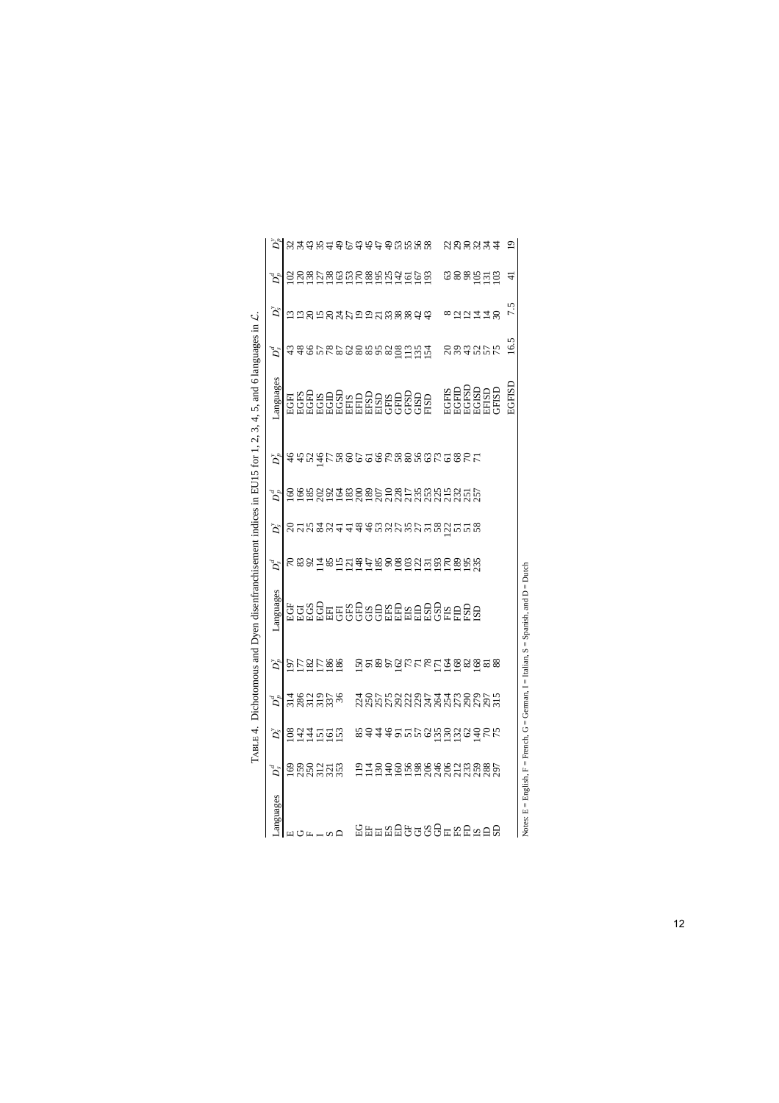|                                                                                                                        | $\hat{D_p}^y$  | stated and the search |  |                                               |  |                         |  |  |  |  |  | <b>ដ</b> ឧន្តន្ត#                                 |  | $\mathbf{5}$ |
|------------------------------------------------------------------------------------------------------------------------|----------------|-----------------------|--|-----------------------------------------------|--|-------------------------|--|--|--|--|--|---------------------------------------------------|--|--------------|
|                                                                                                                        | $D_p^d$        |                       |  | 88888888888958                                |  |                         |  |  |  |  |  | 888952                                            |  | ਚ            |
|                                                                                                                        | $D_s^\nu$      |                       |  | nnghaannanamaan                               |  |                         |  |  |  |  |  | $\infty$ $\cong$ $\cong$ $\cong$ $\cong$ $\infty$ |  | 7.5          |
|                                                                                                                        | $D^a_s$        |                       |  | \$\$\$\$\$\$\$\$\$\$\$\$\$                    |  |                         |  |  |  |  |  | ຂສສູຂປະ                                           |  | 16.5         |
| TABLE 4. Dichotomous and Dyen disenfranchisement indices in EU15 for 1, 2, 3, 4, 5, and 6 languages in $\mathcal{L}$ . | anguages       |                       |  |                                               |  |                         |  |  |  |  |  |                                                   |  | EGFISD       |
|                                                                                                                        | $D_p^y$        |                       |  |                                               |  |                         |  |  |  |  |  |                                                   |  |              |
|                                                                                                                        | $D_p^d$        |                       |  | <u>ទីទីនីទីនីទីនីទីនីទីដូនីដូនីនីនីទីនីទី</u> |  |                         |  |  |  |  |  |                                                   |  |              |
|                                                                                                                        | $D_s^{\nu}$    |                       |  |                                               |  |                         |  |  |  |  |  |                                                   |  |              |
|                                                                                                                        | $D^d_{\rm s}$  |                       |  |                                               |  |                         |  |  |  |  |  |                                                   |  |              |
|                                                                                                                        | anguages       |                       |  | 준절及증量윤余용응응뢌뿡끙뙁용중동동청                           |  |                         |  |  |  |  |  |                                                   |  |              |
|                                                                                                                        | $D_p^{\gamma}$ | 882252                |  |                                               |  | ទីឧទ្ធខ្ចុដ្ឋ និងនិន្នន |  |  |  |  |  |                                                   |  |              |
|                                                                                                                        | $D_p^d$        |                       |  | <u> 금융담음동</u> 음                               |  | ងន័យសន្លន់ដូចដូចមិននិង  |  |  |  |  |  |                                                   |  |              |
|                                                                                                                        | $D_s^\gamma$   | garaga                |  |                                               |  | saaaannawaanaann        |  |  |  |  |  |                                                   |  |              |
|                                                                                                                        | $D^a_s$        |                       |  | ទីដូងដូងដូ                                    |  | AHSRESSSSSARSSS         |  |  |  |  |  |                                                   |  |              |
|                                                                                                                        | anguages       |                       |  | $BCDH - 0D$                                   |  | RHEXBGGGGEKE¤08         |  |  |  |  |  |                                                   |  |              |

| ı                |
|------------------|
|                  |
|                  |
|                  |
|                  |
|                  |
| ١                |
|                  |
| Ï<br>֠           |
|                  |
|                  |
| I<br>I           |
| I<br>l           |
|                  |
|                  |
| í<br>b<br>I<br>١ |
| ı                |
| ı                |
|                  |
|                  |
|                  |
|                  |
| I<br>l           |
| l                |
| í<br>J           |
|                  |
|                  |
| I                |
|                  |
|                  |
|                  |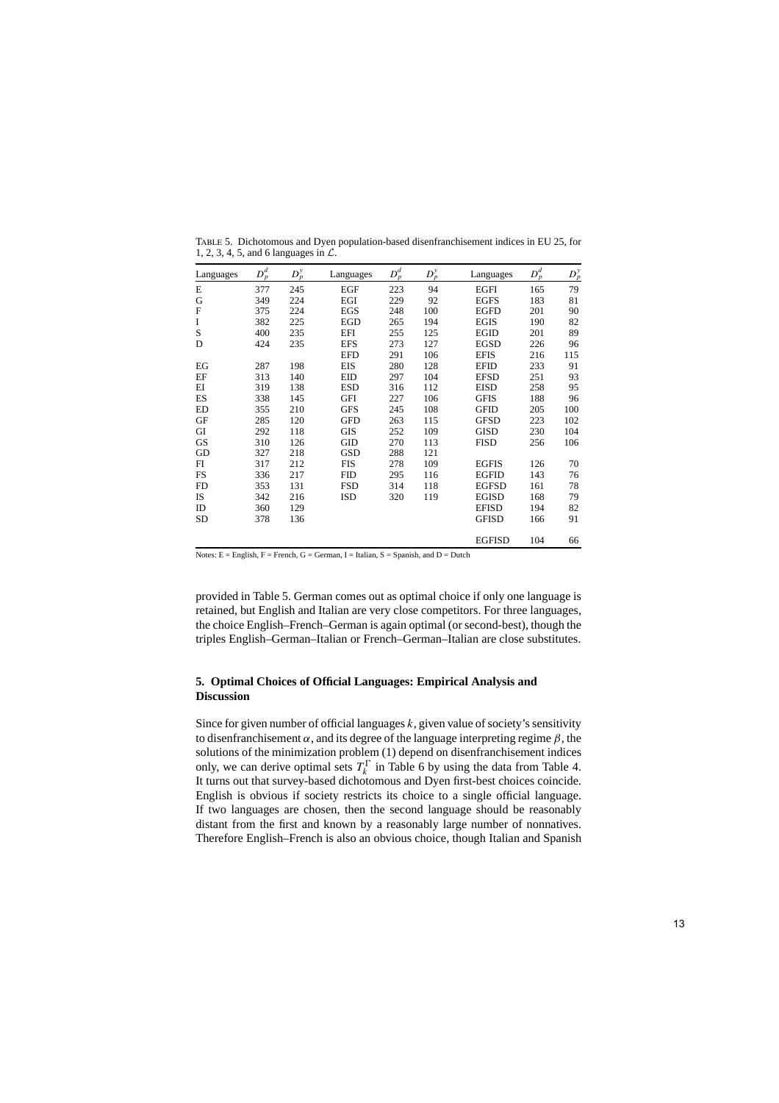| Languages | $D_p^d$ | $D_p^y$ | Languages  | $D_p^d$ | $D_p^y$ | Languages     | $D_p^d$ | $D_p^y$ |
|-----------|---------|---------|------------|---------|---------|---------------|---------|---------|
| E         | 377     | 245     | <b>EGF</b> | 223     | 94      | <b>EGFI</b>   | 165     | 79      |
| G         | 349     | 224     | EGI        | 229     | 92      | <b>EGFS</b>   | 183     | 81      |
| F         | 375     | 224     | <b>EGS</b> | 248     | 100     | <b>EGFD</b>   | 201     | 90      |
| I         | 382     | 225     | EGD        | 265     | 194     | <b>EGIS</b>   | 190     | 82      |
| S         | 400     | 235     | EFI        | 255     | 125     | <b>EGID</b>   | 201     | 89      |
| D         | 424     | 235     | <b>EFS</b> | 273     | 127     | <b>EGSD</b>   | 226     | 96      |
|           |         |         | EFD        | 291     | 106     | <b>EFIS</b>   | 216     | 115     |
| EG        | 287     | 198     | <b>EIS</b> | 280     | 128     | <b>EFID</b>   | 233     | 91      |
| EF        | 313     | 140     | EID        | 297     | 104     | <b>EFSD</b>   | 251     | 93      |
| EI        | 319     | 138     | <b>ESD</b> | 316     | 112     | <b>EISD</b>   | 258     | 95      |
| ES        | 338     | 145     | GFI        | 227     | 106     | <b>GFIS</b>   | 188     | 96      |
| ED        | 355     | 210     | <b>GFS</b> | 245     | 108     | <b>GFID</b>   | 205     | 100     |
| GF        | 285     | 120     | <b>GFD</b> | 263     | 115     | <b>GFSD</b>   | 223     | 102     |
| GI        | 292     | 118     | <b>GIS</b> | 252     | 109     | <b>GISD</b>   | 230     | 104     |
| GS        | 310     | 126     | <b>GID</b> | 270     | 113     | <b>FISD</b>   | 256     | 106     |
| GD        | 327     | 218     | <b>GSD</b> | 288     | 121     |               |         |         |
| FI        | 317     | 212     | <b>FIS</b> | 278     | 109     | <b>EGFIS</b>  | 126     | 70      |
| FS        | 336     | 217     | <b>FID</b> | 295     | 116     | <b>EGFID</b>  | 143     | 76      |
| FD        | 353     | 131     | <b>FSD</b> | 314     | 118     | <b>EGFSD</b>  | 161     | 78      |
| IS        | 342     | 216     | ISD        | 320     | 119     | <b>EGISD</b>  | 168     | 79      |
| ID        | 360     | 129     |            |         |         | <b>EFISD</b>  | 194     | 82      |
| SD        | 378     | 136     |            |         |         | <b>GFISD</b>  | 166     | 91      |
|           |         |         |            |         |         | <b>EGFISD</b> | 104     | 66      |

Table 5. Dichotomous and Dyen population-based disenfranchisement indices in EU 25, for 1, 2, 3, 4, 5, and 6 languages in  $\mathcal{L}$ .

Notes:  $E =$  English,  $F =$  French,  $G =$  German,  $I =$  Italian,  $S =$  Spanish, and  $D =$  Dutch

provided in Table 5. German comes out as optimal choice if only one language is retained, but English and Italian are very close competitors. For three languages, the choice English–French–German is again optimal (or second-best), though the triples English–German–Italian or French–German–Italian are close substitutes.

# **5. Optimal Choices of Official Languages: Empirical Analysis and Discussion**

Since for given number of official languages *k*, given value of society's sensitivity to disenfranchisement  $\alpha$ , and its degree of the language interpreting regime  $\beta$ , the solutions of the minimization problem (1) depend on disenfranchisement indices only, we can derive optimal sets  $T_k^{\Gamma}$  in Table 6 by using the data from Table 4. It turns out that survey-based dichotomous and Dyen first-best choices coincide. English is obvious if society restricts its choice to a single official language. If two languages are chosen, then the second language should be reasonably distant from the first and known by a reasonably large number of nonnatives. Therefore English–French is also an obvious choice, though Italian and Spanish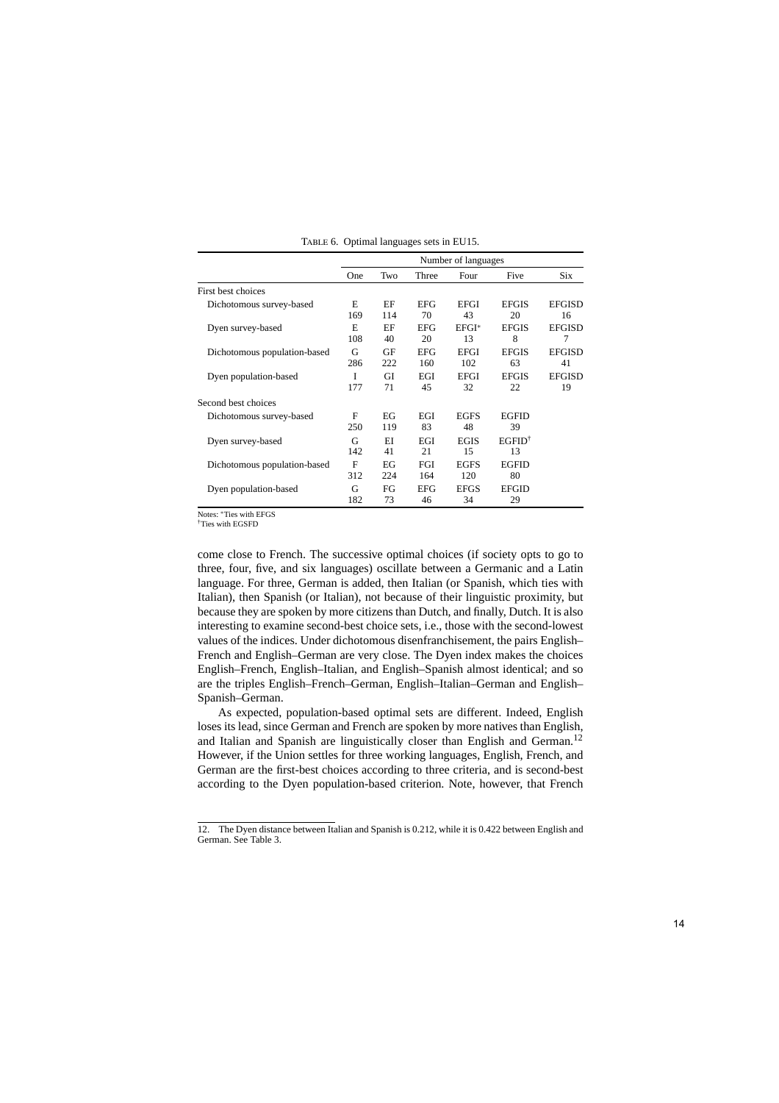|                              | Number of languages |           |                   |                    |                          |                     |  |  |  |  |
|------------------------------|---------------------|-----------|-------------------|--------------------|--------------------------|---------------------|--|--|--|--|
|                              | One                 | Two       | Three             | Four               | Five                     | <b>Six</b>          |  |  |  |  |
| First best choices           |                     |           |                   |                    |                          |                     |  |  |  |  |
| Dichotomous survey-based     | E<br>169            | EF<br>114 | <b>EFG</b><br>70  | <b>EFGI</b><br>43  | <b>EFGIS</b><br>20       | <b>EFGISD</b><br>16 |  |  |  |  |
| Dyen survey-based            | Е<br>108            | EF<br>40  | EFG<br>20         | $EFGI^*$<br>13     | <b>EFGIS</b><br>8        | <b>EFGISD</b><br>7  |  |  |  |  |
| Dichotomous population-based | G<br>286            | GF<br>222 | <b>EFG</b><br>160 | <b>EFGI</b><br>102 | <b>EFGIS</b><br>63       | <b>EFGISD</b><br>41 |  |  |  |  |
| Dyen population-based        | T<br>177            | GI<br>71  | EGI<br>45         | <b>EFGI</b><br>32  | <b>EFGIS</b><br>22       | <b>EFGISD</b><br>19 |  |  |  |  |
| Second best choices          |                     |           |                   |                    |                          |                     |  |  |  |  |
| Dichotomous survey-based     | F<br>250            | EG<br>119 | EGI<br>83         | <b>EGFS</b><br>48  | <b>EGFID</b><br>39       |                     |  |  |  |  |
| Dyen survey-based            | G<br>142            | EI<br>41  | EGI<br>21         | <b>EGIS</b><br>15  | EGFID <sup>†</sup><br>13 |                     |  |  |  |  |
| Dichotomous population-based | F<br>312            | EG<br>224 | FGI<br>164        | <b>EGFS</b><br>120 | <b>EGFID</b><br>80       |                     |  |  |  |  |
| Dyen population-based        | G<br>182            | FG<br>73  | <b>EFG</b><br>46  | <b>EFGS</b><br>34  | <b>EFGID</b><br>29       |                     |  |  |  |  |

Table 6. Optimal languages sets in EU15.

Notes: <sup>∗</sup>Ties with EFGS †Ties with EGSFD

come close to French. The successive optimal choices (if society opts to go to three, four, five, and six languages) oscillate between a Germanic and a Latin language. For three, German is added, then Italian (or Spanish, which ties with Italian), then Spanish (or Italian), not because of their linguistic proximity, but because they are spoken by more citizens than Dutch, and finally, Dutch. It is also interesting to examine second-best choice sets, i.e., those with the second-lowest values of the indices. Under dichotomous disenfranchisement, the pairs English– French and English–German are very close. The Dyen index makes the choices English–French, English–Italian, and English–Spanish almost identical; and so are the triples English–French–German, English–Italian–German and English– Spanish–German.

As expected, population-based optimal sets are different. Indeed, English loses its lead, since German and French are spoken by more natives than English, and Italian and Spanish are linguistically closer than English and German.<sup>12</sup> However, if the Union settles for three working languages, English, French, and German are the first-best choices according to three criteria, and is second-best according to the Dyen population-based criterion. Note, however, that French

<sup>12.</sup> The Dyen distance between Italian and Spanish is 0.212, while it is 0.422 between English and German. See Table 3.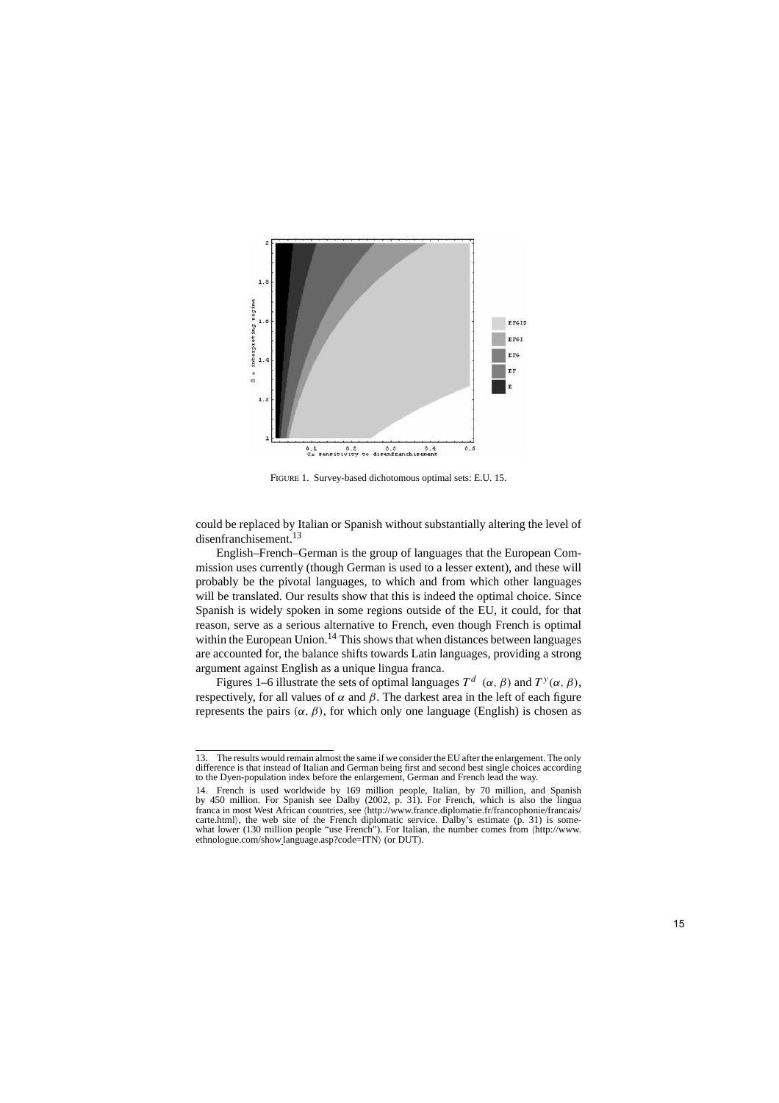

Figure 1. Survey-based dichotomous optimal sets: E.U. 15.

could be replaced by Italian or Spanish without substantially altering the level of disenfranchisement.<sup>13</sup>

English–French–German is the group of languages that the European Commission uses currently (though German is used to a lesser extent), and these will probably be the pivotal languages, to which and from which other languages will be translated. Our results show that this is indeed the optimal choice. Since Spanish is widely spoken in some regions outside of the EU, it could, for that reason, serve as a serious alternative to French, even though French is optimal within the European Union.<sup>14</sup> This shows that when distances between languages are accounted for, the balance shifts towards Latin languages, providing a strong argument against English as a unique lingua franca.

Figures 1–6 illustrate the sets of optimal languages  $T^d$  ( $\alpha$ ,  $\beta$ ) and  $T^y(\alpha, \beta)$ , respectively, for all values of *α* and *β*. The darkest area in the left of each figure represents the pairs *(α, β)*, for which only one language (English) is chosen as

<sup>13.</sup> The results would remain almost the same if we consider the EU after the enlargement. The only difference is that instead of Italian and German being first and second best single choices according to the Dyen-population index before the enlargement, German and French lead the way.

<sup>14.</sup> French is used worldwide by 169 million people, Italian, by 70 million, and Spanish by 450 million. For Spanish see Dalby (2002, p. 31). For French, which is also the lingua franca in most West African countries, see http://www.france.diplomatie.fr/francophonie/francais/ carte.html), the web site of the French diplomatic service. Dalby's estimate  $(p, 31)$  is somewhat lower (130 million people "use French"). For Italian, the number comes from (http://www. ethnologue.com/show language.asp?code=ITN) (or DUT).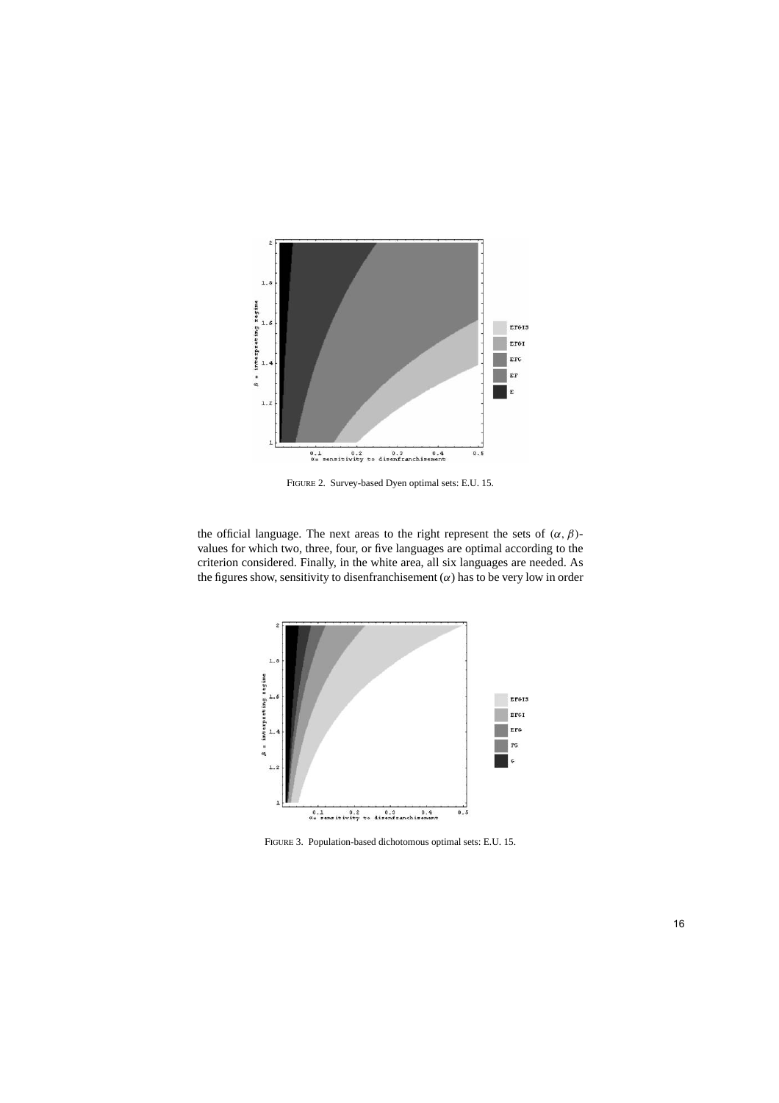

Figure 2. Survey-based Dyen optimal sets: E.U. 15.

the official language. The next areas to the right represent the sets of  $(\alpha, \beta)$ values for which two, three, four, or five languages are optimal according to the criterion considered. Finally, in the white area, all six languages are needed. As the figures show, sensitivity to disenfranchisement  $(\alpha)$  has to be very low in order



Figure 3. Population-based dichotomous optimal sets: E.U. 15.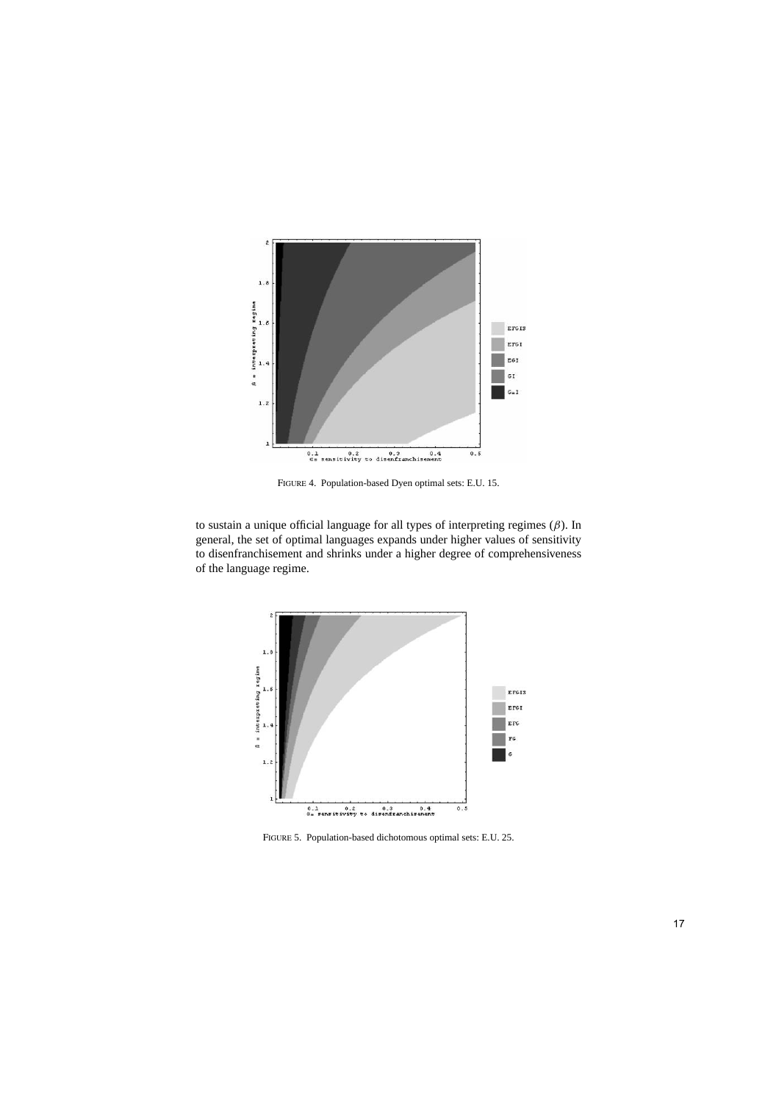

Figure 4. Population-based Dyen optimal sets: E.U. 15.

to sustain a unique official language for all types of interpreting regimes (*β*). In general, the set of optimal languages expands under higher values of sensitivity to disenfranchisement and shrinks under a higher degree of comprehensiveness of the language regime.



Figure 5. Population-based dichotomous optimal sets: E.U. 25.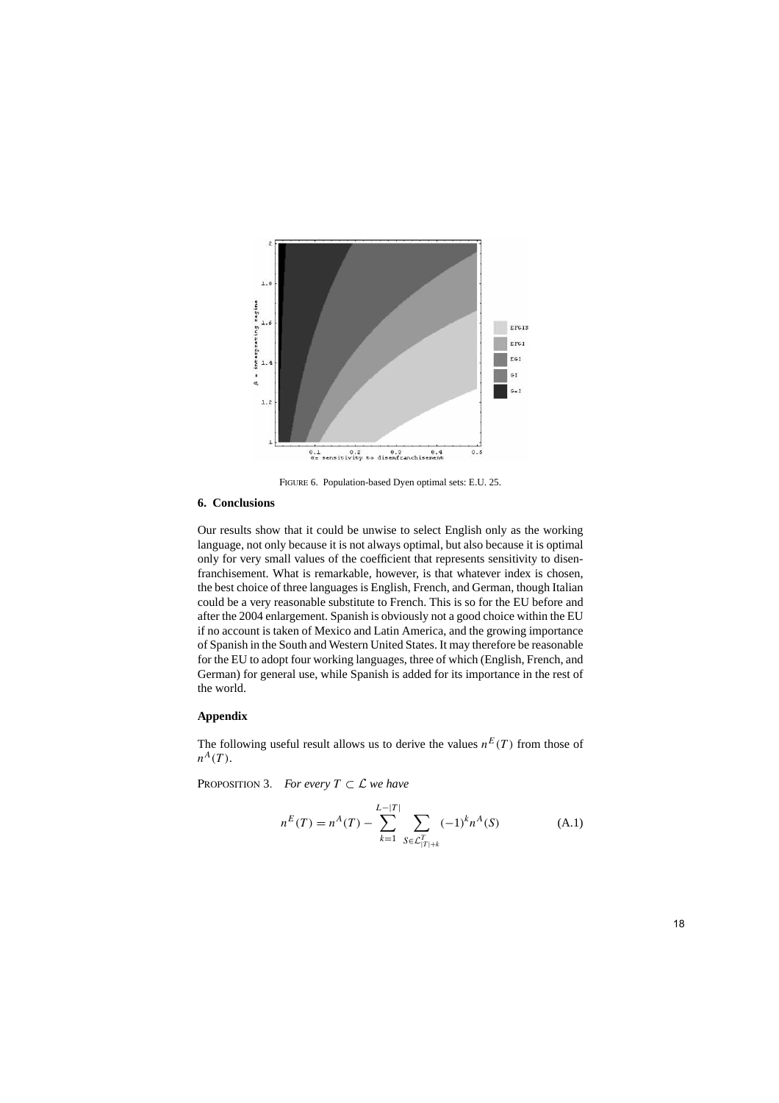

Figure 6. Population-based Dyen optimal sets: E.U. 25.

### **6. Conclusions**

Our results show that it could be unwise to select English only as the working language, not only because it is not always optimal, but also because it is optimal only for very small values of the coefficient that represents sensitivity to disenfranchisement. What is remarkable, however, is that whatever index is chosen, the best choice of three languages is English, French, and German, though Italian could be a very reasonable substitute to French. This is so for the EU before and after the 2004 enlargement. Spanish is obviously not a good choice within the EU if no account is taken of Mexico and Latin America, and the growing importance of Spanish in the South and Western United States. It may therefore be reasonable for the EU to adopt four working languages, three of which (English, French, and German) for general use, while Spanish is added for its importance in the rest of the world.

# **Appendix**

The following useful result allows us to derive the values  $n<sup>E</sup>(T)$  from those of  $n^A(T)$ .

PROPOSITION 3. *For every*  $T \subset \mathcal{L}$  *we have* 

$$
n^{E}(T) = n^{A}(T) - \sum_{k=1}^{L-|T|} \sum_{S \in \mathcal{L}_{|T|+k}^{T}} (-1)^{k} n^{A}(S)
$$
 (A.1)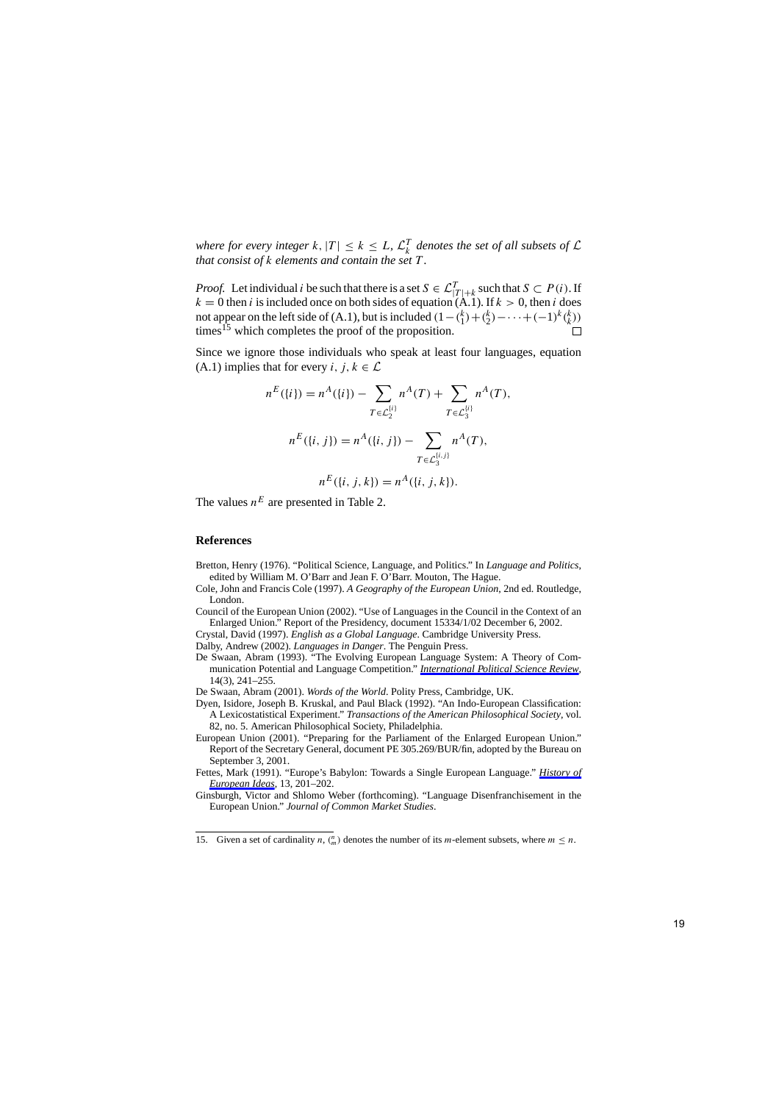*where for every integer*  $k$ ,  $|T| \leq k \leq L$ ,  $\mathcal{L}_k^T$  *denotes the set of all subsets of*  $\mathcal{L}$ *that consist of k elements and contain the set T .*

*Proof.* Let individual *i* be such that there is a set  $S \in \mathcal{L}_{|T|+k}^T$  such that  $S \subset P(i)$ . If  $k = 0$  then *i* is included once on both sides of equation  $(A,1)$ . If  $k > 0$ , then *i* does not appear on the left side of (A.1), but is included  $(1 - {k \choose 1} + {k \choose 2} - \cdots + (-1)^k {k \choose k}$ times<sup>15</sup> which completes the proof of the proposition.

Since we ignore those individuals who speak at least four languages, equation (A.1) implies that for every *i*,  $j, k \in \mathcal{L}$ 

$$
n^{E}(\{i\}) = n^{A}(\{i\}) - \sum_{T \in \mathcal{L}_{2}^{[i]}} n^{A}(T) + \sum_{T \in \mathcal{L}_{3}^{[i]}} n^{A}(T),
$$

$$
n^{E}(\{i, j\}) = n^{A}(\{i, j\}) - \sum_{T \in \mathcal{L}_{3}^{[i,j]}} n^{A}(T),
$$

$$
n^{E}(\{i, j, k\}) = n^{A}(\{i, j, k\}).
$$

The values  $n^E$  are presented in Table 2.

#### **References**

- Bretton, Henry (1976). "Political Science, Language, and Politics." In *Language and Politics*, edited by William M. O'Barr and Jean F. O'Barr. Mouton, The Hague.
- Cole, John and Francis Cole (1997). *A Geography of the European Union*, 2nd ed. Routledge, London.
- Council of the European Union (2002). "Use of Languages in the Council in the Context of an Enlarged Union." Report of the Presidency, document 15334/1/02 December 6, 2002.

Crystal, David (1997). *English as a Global Language*. Cambridge University Press.

Dalby, Andrew (2002). *Languages in Danger*. The Penguin Press.

De Swaan, Abram (1993). "The Evolving European Language System: A Theory of Communication Potential and Language Competition." *International Political Science Review*, 14(3), 241–255.

De Swaan, Abram (2001). *Words of the World*. Polity Press, Cambridge, UK.

- Dyen, Isidore, Joseph B. Kruskal, and Paul Black (1992). "An Indo-European Classification: A Lexicostatistical Experiment." *Transactions of the American Philosophical Society*, vol. 82, no. 5. American Philosophical Society, Philadelphia.
- European Union (2001). "Preparing for the Parliament of the Enlarged European Union." Report of the Secretary General, document PE 305.269/BUR/fin, adopted by the Bureau on September 3, 2001.
- Fettes, Mark (1991). "Europe's Babylon: Towards a Single European Language." *History of European Ideas*, 13, 201–202.
- Ginsburgh, Victor and Shlomo Weber (forthcoming). "Language Disenfranchisement in the European Union." *Journal of Common Market Studies*.

<sup>15.</sup> Given a set of cardinality *n*,  $\binom{n}{m}$  denotes the number of its *m*-element subsets, where  $m \le n$ .